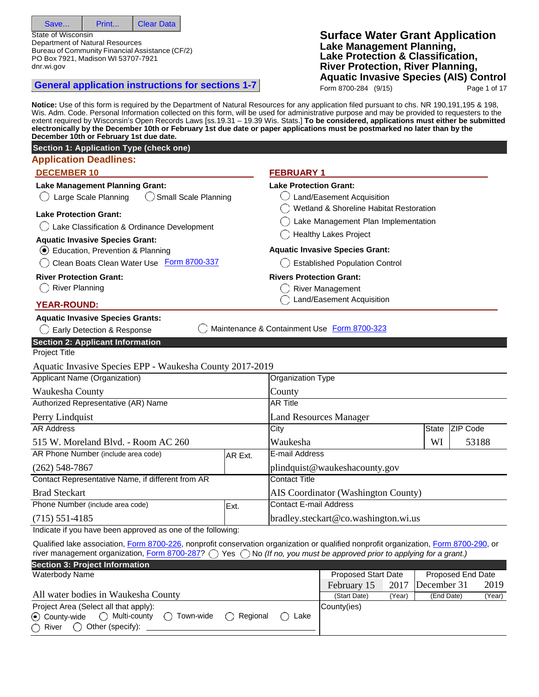Save... Print... Clear Data

State of Wisconsin

Department of Natural Resources Bureau of Community Financial Assistance (CF/2) PO Box 7921, Madison WI 53707-7921 dnr.wi.gov

**General application instructions for sections 1-7** 

## **Surface Water Grant Application Lake Management Planning, Lake Protection & Classification, River Protection, River Planning, Aquatic Invasive Species (AIS) Control**

Form 8700-284 (9/15) Page 1 of 17

**Notice:** Use of this form is required by the Department of Natural Resources for any application filed pursuant to chs. NR 190,191,195 & 198, Wis. Adm. Code. Personal Information collected on this form, will be used for administrative purpose and may be provided to requesters to the extent required by Wisconsin's Open Records Laws [ss.19.31 – 19.39 Wis. Stats.] **To be considered, applications must either be submitted electronically by the December 10th or February 1st due date or paper applications must be postmarked no later than by the December 10th or February 1st due date. Application Deadlines: DECEMBER 10 FEBRUARY 1 Lake Management Planning Grant:**  $\bigcirc$  Large Scale Planning  $\bigcirc$  Small Scale Planning **Lake Protection Grant:** Lake Classification & Ordinance Development **Aquatic Invasive Species Grant:** Education, Prevention & Planning **Lake Protection Grant:**  $\bigcirc$  Land/Easement Acquisition Wetland & Shoreline Habitat Restoration Lake Management Plan Implementation ◯ Healthy Lakes Project **Aquatic Invasive Species Grant:** C Clean Boats Clean Water Use Form 8700-337 **River Protection Grant:** () River Planning **YEAR-ROUND: Aquatic Invasive Species Grants:**  $\overline{C}$  Established Population Control **Rivers Protection Grant:** ◯ River Management Land/Easement Acquisition Early Detection & Response Maintenance & Containment Use Form 8700-323 Project Title Aquatic Invasive Species EPP - Waukesha County 2017-2019 Applicant Name (Organization) Waukesha County Organization Type County Authorized Representative (AR) Name Perry Lindquist AR Title Land Resources Manager AR Address 515 W. Moreland Blvd. - Room AC 260 City Waukesha **State** WI ZIP Code 53188 AR Phone Number (include area code) (262) 548-7867 AR Ext. **E-mail Address** [plindquist@waukeshacounty.gov](mailto:plindquist@waukeshacounty.gov) Contact Representative Name, if different from AR Brad Steckart Contact Title AIS Coordinator (Washington County) Phone Number (include area code) (715) 551-4185 Ext. Contact E-mail Address [bradley.steckart@co.washington.wi.us](mailto:bradley.steckart@co.washington.wi.us) Indicate if you have been approved as one of the following: Qualified lake association, Form 8700-226, nonprofit conservation organization or qualified nonprofit organization, Form 8700-290, or river management organization, Form 8700-287?  $\bigcirc$  Yes  $\bigcirc$  No *(If no, you must be approved prior to applying for a grant.)* **Section 3: Project Information** Waterbody Name All water bodies in Waukesha County Proposed Start Date | Proposed End Date February 15 2017 December 31 2019 (Start Date) (Year) (End Date) (Year) Project Area (Select all that apply):  $\odot$  County-wide  $\odot$  Multi-county  $\odot$  Town-wide  $\odot$  Regional  $\odot$  Lake River  $\bigcirc$  Other (specify): County(ies) **Section 2: Applicant Information Section 1: Application Type (check one)**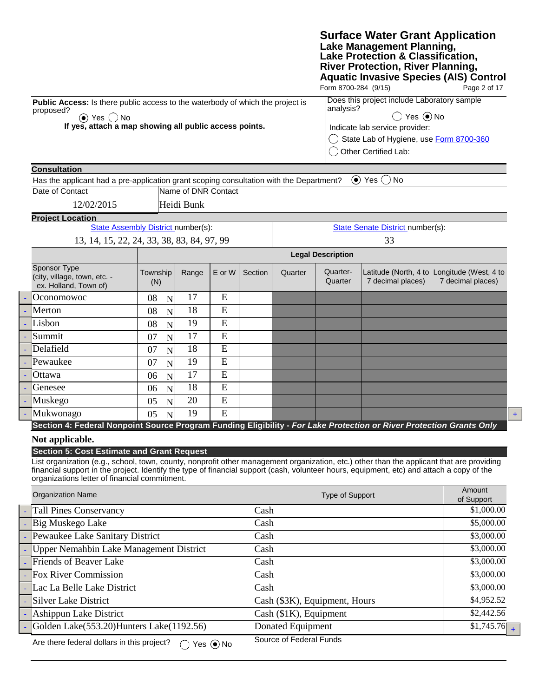|                                                                                                                                                                                                                                                                                                                                                                                              |                                            |                     |        |                        |                                                                           | Form 8700-284 (9/15)                      | <b>Surface Water Grant Application</b><br>Lake Management Planning,<br>Lake Protection & Classification,<br><b>River Protection, River Planning,</b> | <b>Aquatic Invasive Species (AIS) Control</b><br>Page 2 of 17    |  |  |
|----------------------------------------------------------------------------------------------------------------------------------------------------------------------------------------------------------------------------------------------------------------------------------------------------------------------------------------------------------------------------------------------|--------------------------------------------|---------------------|--------|------------------------|---------------------------------------------------------------------------|-------------------------------------------|------------------------------------------------------------------------------------------------------------------------------------------------------|------------------------------------------------------------------|--|--|
| Public Access: Is there public access to the waterbody of which the project is                                                                                                                                                                                                                                                                                                               |                                            |                     |        |                        |                                                                           |                                           | Does this project include Laboratory sample                                                                                                          |                                                                  |  |  |
| proposed?<br>$\odot$ Yes $\bigcirc$ No                                                                                                                                                                                                                                                                                                                                                       |                                            |                     |        |                        |                                                                           | analysis?<br>$\bigcirc$ Yes $\bigcirc$ No |                                                                                                                                                      |                                                                  |  |  |
| If yes, attach a map showing all public access points.                                                                                                                                                                                                                                                                                                                                       |                                            |                     |        |                        | Indicate lab service provider:<br>State Lab of Hygiene, use Form 8700-360 |                                           |                                                                                                                                                      |                                                                  |  |  |
|                                                                                                                                                                                                                                                                                                                                                                                              |                                            |                     |        |                        |                                                                           |                                           |                                                                                                                                                      |                                                                  |  |  |
|                                                                                                                                                                                                                                                                                                                                                                                              |                                            |                     |        |                        |                                                                           |                                           | Other Certified Lab:                                                                                                                                 |                                                                  |  |  |
| <b>Consultation</b>                                                                                                                                                                                                                                                                                                                                                                          |                                            |                     |        |                        |                                                                           |                                           |                                                                                                                                                      |                                                                  |  |  |
| Has the applicant had a pre-application grant scoping consultation with the Department?                                                                                                                                                                                                                                                                                                      |                                            |                     |        |                        |                                                                           |                                           | $\odot$ Yes $\bigcirc$<br><b>No</b>                                                                                                                  |                                                                  |  |  |
| Date of Contact                                                                                                                                                                                                                                                                                                                                                                              |                                            | Name of DNR Contact |        |                        |                                                                           |                                           |                                                                                                                                                      |                                                                  |  |  |
| 12/02/2015                                                                                                                                                                                                                                                                                                                                                                                   |                                            | Heidi Bunk          |        |                        |                                                                           |                                           |                                                                                                                                                      |                                                                  |  |  |
| <b>Project Location</b>                                                                                                                                                                                                                                                                                                                                                                      |                                            |                     |        |                        |                                                                           |                                           |                                                                                                                                                      |                                                                  |  |  |
|                                                                                                                                                                                                                                                                                                                                                                                              | State Assembly District number(s):         |                     |        |                        |                                                                           |                                           | <b>State Senate District number(s):</b>                                                                                                              |                                                                  |  |  |
|                                                                                                                                                                                                                                                                                                                                                                                              | 13, 14, 15, 22, 24, 33, 38, 83, 84, 97, 99 |                     |        |                        |                                                                           |                                           | 33                                                                                                                                                   |                                                                  |  |  |
|                                                                                                                                                                                                                                                                                                                                                                                              |                                            |                     |        |                        | <b>Legal Description</b>                                                  |                                           |                                                                                                                                                      |                                                                  |  |  |
| Sponsor Type<br>(city, village, town, etc. -<br>ex. Holland, Town of)                                                                                                                                                                                                                                                                                                                        | Township<br>(N)                            | Range               | E or W | Section                | Quarter                                                                   | Quarter-<br>Quarter                       | 7 decimal places)                                                                                                                                    | Latitude (North, 4 to Longitude (West, 4 to<br>7 decimal places) |  |  |
| Oconomowoc                                                                                                                                                                                                                                                                                                                                                                                   | 08<br>$\mathbf N$                          | 17                  | E      |                        |                                                                           |                                           |                                                                                                                                                      |                                                                  |  |  |
| Merton                                                                                                                                                                                                                                                                                                                                                                                       | 08<br>$\mathbf N$                          | 18                  | E      |                        |                                                                           |                                           |                                                                                                                                                      |                                                                  |  |  |
| Lisbon                                                                                                                                                                                                                                                                                                                                                                                       | 08<br>$\overline{N}$                       | 19                  | E      |                        |                                                                           |                                           |                                                                                                                                                      |                                                                  |  |  |
| Summit                                                                                                                                                                                                                                                                                                                                                                                       | 07<br>$\mathbf N$                          | 17                  | E      |                        |                                                                           |                                           |                                                                                                                                                      |                                                                  |  |  |
| Delafield                                                                                                                                                                                                                                                                                                                                                                                    | 07<br>$\mathbf N$                          | 18                  | E      |                        |                                                                           |                                           |                                                                                                                                                      |                                                                  |  |  |
| Pewaukee                                                                                                                                                                                                                                                                                                                                                                                     | 07<br>$\overline{N}$                       | 19                  | E      |                        |                                                                           |                                           |                                                                                                                                                      |                                                                  |  |  |
| Ottawa                                                                                                                                                                                                                                                                                                                                                                                       | 06<br>$\mathbf N$                          | 17                  | E      |                        |                                                                           |                                           |                                                                                                                                                      |                                                                  |  |  |
| Genesee                                                                                                                                                                                                                                                                                                                                                                                      | 06<br>$\mathbf N$                          | 18                  | E      |                        |                                                                           |                                           |                                                                                                                                                      |                                                                  |  |  |
| Muskego                                                                                                                                                                                                                                                                                                                                                                                      | 05<br>$\mathbf N$                          | 20                  | E      |                        |                                                                           |                                           |                                                                                                                                                      |                                                                  |  |  |
| Mukwonago                                                                                                                                                                                                                                                                                                                                                                                    | 05<br>N                                    | 19                  | E      |                        |                                                                           |                                           |                                                                                                                                                      |                                                                  |  |  |
| Section 4: Federal Nonpoint Source Program Funding Eligibility - For Lake Protection or River Protection Grants Only                                                                                                                                                                                                                                                                         |                                            |                     |        |                        |                                                                           |                                           |                                                                                                                                                      |                                                                  |  |  |
| Not applicable.                                                                                                                                                                                                                                                                                                                                                                              |                                            |                     |        |                        |                                                                           |                                           |                                                                                                                                                      |                                                                  |  |  |
| <b>Section 5: Cost Estimate and Grant Request</b><br>List organization (e.g., school, town, county, nonprofit other management organization, etc.) other than the applicant that are providing<br>financial support in the project. Identify the type of financial support (cash, volunteer hours, equipment, etc) and attach a copy of the<br>organizations letter of financial commitment. |                                            |                     |        |                        |                                                                           |                                           |                                                                                                                                                      |                                                                  |  |  |
| <b>Organization Name</b>                                                                                                                                                                                                                                                                                                                                                                     |                                            |                     |        |                        | Type of Support                                                           |                                           |                                                                                                                                                      | Amount<br>of Support                                             |  |  |
| <b>Tall Pines Conservancy</b>                                                                                                                                                                                                                                                                                                                                                                |                                            |                     |        |                        | Cash                                                                      |                                           |                                                                                                                                                      | \$1,000.00                                                       |  |  |
| Big Muskego Lake                                                                                                                                                                                                                                                                                                                                                                             |                                            |                     |        | Cash                   |                                                                           | \$5,000.00                                |                                                                                                                                                      |                                                                  |  |  |
| Pewaukee Lake Sanitary District                                                                                                                                                                                                                                                                                                                                                              |                                            |                     |        | Cash                   |                                                                           | \$3,000.00                                |                                                                                                                                                      |                                                                  |  |  |
| Upper Nemahbin Lake Management District                                                                                                                                                                                                                                                                                                                                                      |                                            |                     |        | Cash                   |                                                                           | \$3,000.00                                |                                                                                                                                                      |                                                                  |  |  |
| Friends of Beaver Lake                                                                                                                                                                                                                                                                                                                                                                       |                                            |                     | Cash   |                        | \$3,000.00                                                                |                                           |                                                                                                                                                      |                                                                  |  |  |
| <b>Fox River Commission</b>                                                                                                                                                                                                                                                                                                                                                                  |                                            |                     |        | Cash                   |                                                                           | \$3,000.00                                |                                                                                                                                                      |                                                                  |  |  |
| Lac La Belle Lake District                                                                                                                                                                                                                                                                                                                                                                   |                                            |                     |        | Cash                   |                                                                           | \$3,000.00                                |                                                                                                                                                      |                                                                  |  |  |
| Silver Lake District                                                                                                                                                                                                                                                                                                                                                                         |                                            |                     |        |                        | Cash (\$3K), Equipment, Hours                                             |                                           |                                                                                                                                                      | \$4,952.52                                                       |  |  |
| Ashippun Lake District                                                                                                                                                                                                                                                                                                                                                                       |                                            |                     |        | Cash (\$1K), Equipment | \$2,442.56                                                                |                                           |                                                                                                                                                      |                                                                  |  |  |
| Golden Lake(553.20)Hunters Lake(1192.56)                                                                                                                                                                                                                                                                                                                                                     |                                            |                     |        | Donated Equipment      |                                                                           |                                           | $\overline{$1,745.76}$ +                                                                                                                             |                                                                  |  |  |

| Are there federal dollars in this project? $\bigcirc$ Yes $\bigcirc$ No | Source of Federal Funds |
|-------------------------------------------------------------------------|-------------------------|
|                                                                         |                         |

 $+$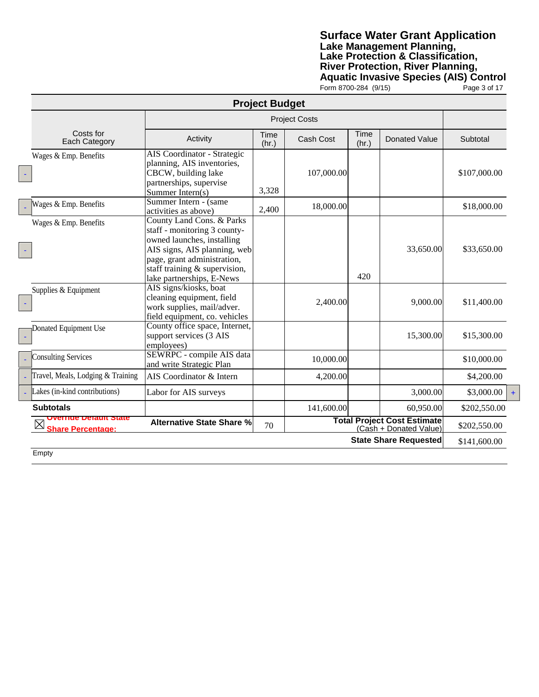## **Surface Water Grant Application Lake Management Planning, Lake Protection & Classification, River Protection, River Planning, Aquatic Invasive Species (AIS) Control** Form 8700-284 (9/15) Page 3 of 17

|                                                      |                                                                                                                                                                                                                      | <b>Project Budget</b> |            |               |                                                       |              |
|------------------------------------------------------|----------------------------------------------------------------------------------------------------------------------------------------------------------------------------------------------------------------------|-----------------------|------------|---------------|-------------------------------------------------------|--------------|
|                                                      |                                                                                                                                                                                                                      |                       |            |               |                                                       |              |
| Costs for<br>Each Category                           | Activity                                                                                                                                                                                                             | Time<br>(hr.)         | Cash Cost  | Time<br>(hr.) | Donated Value                                         | Subtotal     |
| Wages & Emp. Benefits                                | AIS Coordinator - Strategic<br>planning, AIS inventories,<br>CBCW, building lake<br>partnerships, supervise<br>Summer Intern(s)                                                                                      | 3,328                 | 107,000.00 |               |                                                       | \$107,000.00 |
| Wages & Emp. Benefits                                | Summer Intern - (same<br>activities as above)                                                                                                                                                                        | 2,400                 | 18,000.00  |               |                                                       | \$18,000.00  |
| Wages & Emp. Benefits                                | County Land Cons. & Parks<br>staff - monitoring 3 county-<br>owned launches, installing<br>AIS signs, AIS planning, web<br>page, grant administration,<br>staff training & supervision,<br>lake partnerships, E-News |                       |            | 420           | 33,650.00                                             | \$33,650.00  |
| Supplies & Equipment                                 | AIS signs/kiosks, boat<br>cleaning equipment, field<br>work supplies, mail/adver.<br>field equipment, co. vehicles                                                                                                   |                       | 2,400.00   |               | 9,000.00                                              | \$11,400.00  |
| Donated Equipment Use                                | County office space, Internet,<br>support services (3 AIS<br>employees)                                                                                                                                              |                       |            |               | 15,300.00                                             | \$15,300.00  |
| <b>Consulting Services</b>                           | SEWRPC - compile AIS data<br>and write Strategic Plan                                                                                                                                                                |                       | 10,000.00  |               |                                                       | \$10,000.00  |
| Travel, Meals, Lodging & Training                    | AIS Coordinator & Intern                                                                                                                                                                                             |                       | 4,200.00   |               |                                                       | \$4,200.00   |
| Lakes (in-kind contributions)                        | Labor for AIS surveys                                                                                                                                                                                                |                       |            |               | 3,000.00                                              | \$3,000.00   |
| <b>Subtotals</b>                                     |                                                                                                                                                                                                                      |                       | 141,600.00 |               | 60,950.00                                             | \$202,550.00 |
| <b>The Default State</b><br><b>Share Percentage:</b> | <b>Alternative State Share %</b>                                                                                                                                                                                     | 70                    |            |               | Total Project Cost Estimate<br>(Cash + Donated Value) | \$202,550.00 |
|                                                      |                                                                                                                                                                                                                      |                       |            |               | <b>State Share Requested</b>                          | \$141,600.00 |
| Empty                                                |                                                                                                                                                                                                                      |                       |            |               |                                                       |              |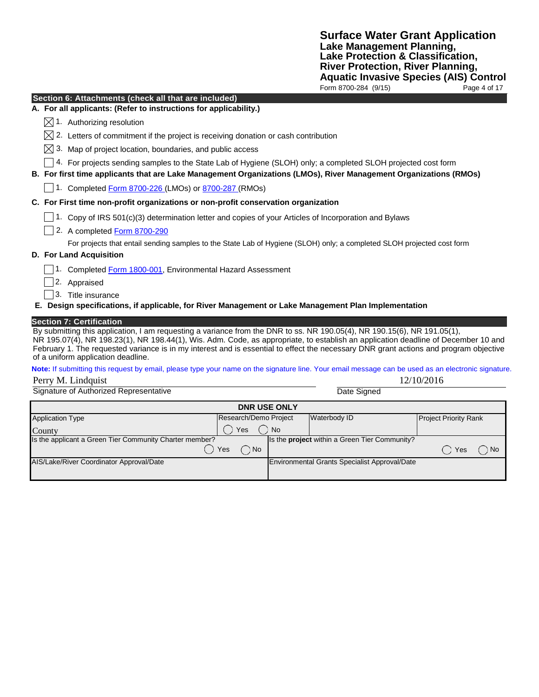| Section 6: Attachments (check all that are included)                                                                                                                                                                                                                                                                                                                                                                                                                            |             |
|---------------------------------------------------------------------------------------------------------------------------------------------------------------------------------------------------------------------------------------------------------------------------------------------------------------------------------------------------------------------------------------------------------------------------------------------------------------------------------|-------------|
| A. For all applicants: (Refer to instructions for applicability.)                                                                                                                                                                                                                                                                                                                                                                                                               |             |
| $\boxtimes$ 1. Authorizing resolution                                                                                                                                                                                                                                                                                                                                                                                                                                           |             |
| 2. Letters of commitment if the project is receiving donation or cash contribution                                                                                                                                                                                                                                                                                                                                                                                              |             |
| $\boxtimes$ 3. Map of project location, boundaries, and public access                                                                                                                                                                                                                                                                                                                                                                                                           |             |
| 4. For projects sending samples to the State Lab of Hygiene (SLOH) only; a completed SLOH projected cost form<br>B. For first time applicants that are Lake Management Organizations (LMOs), River Management Organizations (RMOs)                                                                                                                                                                                                                                              |             |
| 1. Completed Form 8700-226 (LMOs) or 8700-287 (RMOs)                                                                                                                                                                                                                                                                                                                                                                                                                            |             |
| C. For First time non-profit organizations or non-profit conservation organization                                                                                                                                                                                                                                                                                                                                                                                              |             |
| 1. Copy of IRS 501(c)(3) determination letter and copies of your Articles of Incorporation and Bylaws                                                                                                                                                                                                                                                                                                                                                                           |             |
| 2. A completed Form 8700-290                                                                                                                                                                                                                                                                                                                                                                                                                                                    |             |
| For projects that entail sending samples to the State Lab of Hygiene (SLOH) only; a completed SLOH projected cost form                                                                                                                                                                                                                                                                                                                                                          |             |
| D. For Land Acquisition                                                                                                                                                                                                                                                                                                                                                                                                                                                         |             |
| 1. Completed Form 1800-001, Environmental Hazard Assessment                                                                                                                                                                                                                                                                                                                                                                                                                     |             |
| 2. Appraised                                                                                                                                                                                                                                                                                                                                                                                                                                                                    |             |
| 3. Title insurance                                                                                                                                                                                                                                                                                                                                                                                                                                                              |             |
| E. Design specifications, if applicable, for River Management or Lake Management Plan Implementation                                                                                                                                                                                                                                                                                                                                                                            |             |
| <b>Section 7: Certification</b><br>By submitting this application, I am requesting a variance from the DNR to ss. NR 190.05(4), NR 190.15(6), NR 191.05(1),<br>NR 195.07(4), NR 198.23(1), NR 198.44(1), Wis. Adm. Code, as appropriate, to establish an application deadline of December 10 and<br>February 1. The requested variance is in my interest and is essential to effect the necessary DNR grant actions and program objective<br>of a uniform application deadline. |             |
| Note: If submitting this request by email, please type your name on the signature line. Your email message can be used as an electronic signature.                                                                                                                                                                                                                                                                                                                              |             |
| Perry M. Lindquist                                                                                                                                                                                                                                                                                                                                                                                                                                                              | 12/10/2016  |
| Signature of Authorized Representative                                                                                                                                                                                                                                                                                                                                                                                                                                          | Date Signed |
| DNR LISE ONLY                                                                                                                                                                                                                                                                                                                                                                                                                                                                   |             |

| <b>DNR USE ONLY</b>                                     |                       |           |                                                      |                              |      |  |  |  |
|---------------------------------------------------------|-----------------------|-----------|------------------------------------------------------|------------------------------|------|--|--|--|
| <b>Application Type</b>                                 | Research/Demo Project |           | Waterbody ID                                         | <b>Project Priority Rank</b> |      |  |  |  |
| County                                                  | Yes                   | <b>No</b> |                                                      |                              |      |  |  |  |
| Is the applicant a Green Tier Community Charter member? |                       |           | Is the <b>project</b> within a Green Tier Community? |                              |      |  |  |  |
|                                                         | ) No<br>Yes           |           |                                                      | Yes                          | : No |  |  |  |
| AIS/Lake/River Coordinator Approval/Date                |                       |           | Environmental Grants Specialist Approval/Date        |                              |      |  |  |  |
|                                                         |                       |           |                                                      |                              |      |  |  |  |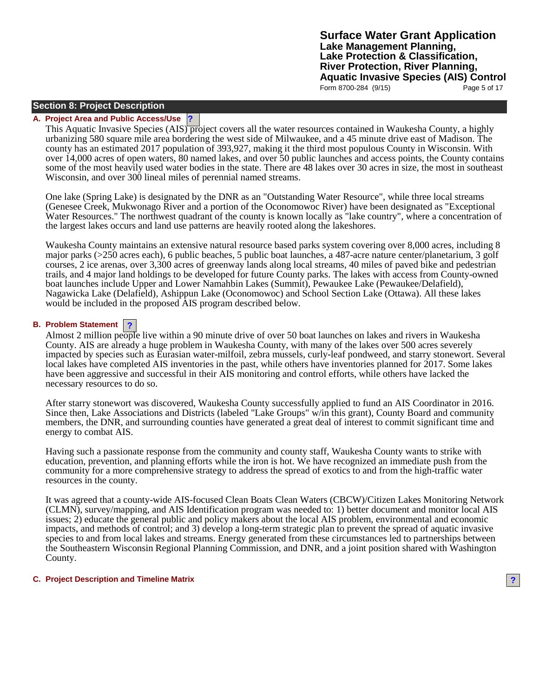## **Section 8: Project Description**

### **A. Project Area and Public Access/Use ?**

This Aquatic Invasive Species (AIS) project covers all the water resources contained in Waukesha County, a highly urbanizing 580 square mile area bordering the west side of Milwaukee, and a 45 minute drive east of Madison. The county has an estimated 2017 population of 393,927, making it the third most populous County in Wisconsin. With over 14,000 acres of open waters, 80 named lakes, and over 50 public launches and access points, the County contains some of the most heavily used water bodies in the state. There are 48 lakes over 30 acres in size, the most in southeast Wisconsin, and over 300 lineal miles of perennial named streams.

One lake (Spring Lake) is designated by the DNR as an "Outstanding Water Resource", while three local streams (Genesee Creek, Mukwonago River and a portion of the Oconomowoc River) have been designated as "Exceptional Water Resources." The northwest quadrant of the county is known locally as "lake country", where a concentration of the largest lakes occurs and land use patterns are heavily rooted along the lakeshores.

Waukesha County maintains an extensive natural resource based parks system covering over 8,000 acres, including 8 major parks (>250 acres each), 6 public beaches, 5 public boat launches, a 487-acre nature center/planetarium, 3 golf courses, 2 ice arenas, over 3,300 acres of greenway lands along local streams, 40 miles of paved bike and pedestrian trails, and 4 major land holdings to be developed for future County parks. The lakes with access from County-owned boat launches include Upper and Lower Namahbin Lakes (Summit), Pewaukee Lake (Pewaukee/Delafield), Nagawicka Lake (Delafield), Ashippun Lake (Oconomowoc) and School Section Lake (Ottawa). All these lakes would be included in the proposed AIS program described below.

## **? B. Problem Statement**

Almost 2 million people live within a 90 minute drive of over 50 boat launches on lakes and rivers in Waukesha County. AIS are already a huge problem in Waukesha County, with many of the lakes over 500 acres severely impacted by species such as Eurasian water-milfoil, zebra mussels, curly-leaf pondweed, and starry stonewort. Several local lakes have completed AIS inventories in the past, while others have inventories planned for 2017. Some lakes have been aggressive and successful in their AIS monitoring and control efforts, while others have lacked the necessary resources to do so.

After starry stonewort was discovered, Waukesha County successfully applied to fund an AIS Coordinator in 2016. Since then, Lake Associations and Districts (labeled "Lake Groups" w/in this grant), County Board and community members, the DNR, and surrounding counties have generated a great deal of interest to commit significant time and energy to combat AIS.

Having such a passionate response from the community and county staff, Waukesha County wants to strike with education, prevention, and planning efforts while the iron is hot. We have recognized an immediate push from the community for a more comprehensive strategy to address the spread of exotics to and from the high-traffic water resources in the county.

It was agreed that a county-wide AIS-focused Clean Boats Clean Waters (CBCW)/Citizen Lakes Monitoring Network (CLMN), survey/mapping, and AIS Identification program was needed to: 1) better document and monitor local AIS issues; 2) educate the general public and policy makers about the local AIS problem, environmental and economic impacts, and methods of control; and 3) develop a long-term strategic plan to prevent the spread of aquatic invasive species to and from local lakes and streams. Energy generated from these circumstances led to partnerships between the Southeastern Wisconsin Regional Planning Commission, and DNR, and a joint position shared with Washington County.

### **C. Project Description and Timeline Matrix ?**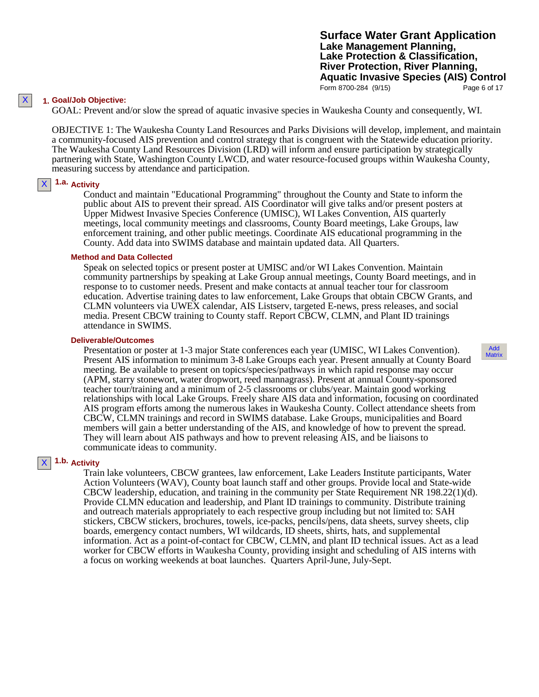**Surface Water Grant Application Lake Management Planning, Lake Protection & Classification, River Protection, River Planning, Aquatic Invasive Species (AIS) Control** Form 8700-284 (9/15) Page 6 of 17

### **1. Goal/Job Objective:**

GOAL: Prevent and/or slow the spread of aquatic invasive species in Waukesha County and consequently, WI.

OBJECTIVE 1: The Waukesha County Land Resources and Parks Divisions will develop, implement, and maintain a community-focused AIS prevention and control strategy that is congruent with the Statewide education priority. The Waukesha County Land Resources Division (LRD) will inform and ensure participation by strategically partnering with State, Washington County LWCD, and water resource-focused groups within Waukesha County, measuring success by attendance and participation.

#### **1.a. Activity** X

Conduct and maintain "Educational Programming" throughout the County and State to inform the public about AIS to prevent their spread. AIS Coordinator will give talks and/or present posters at Upper Midwest Invasive Species Conference (UMISC), WI Lakes Convention, AIS quarterly meetings, local community meetings and classrooms, County Board meetings, Lake Groups, law enforcement training, and other public meetings. Coordinate AIS educational programming in the County. Add data into SWIMS database and maintain updated data. All Quarters.

#### **Method and Data Collected**

Speak on selected topics or present poster at UMISC and/or WI Lakes Convention. Maintain community partnerships by speaking at Lake Group annual meetings, County Board meetings, and in response to to customer needs. Present and make contacts at annual teacher tour for classroom education. Advertise training dates to law enforcement, Lake Groups that obtain CBCW Grants, and CLMN volunteers via UWEX calendar, AIS Listserv, targeted E-news, press releases, and social media. Present CBCW training to County staff. Report CBCW, CLMN, and Plant ID trainings attendance in SWIMS.

#### **Deliverable/Outcomes**

Presentation or poster at 1-3 major State conferences each year (UMISC, WI Lakes Convention). Present AIS information to minimum 3-8 Lake Groups each year. Present annually at County Board meeting. Be available to present on topics/species/pathways in which rapid response may occur (APM, starry stonewort, water dropwort, reed mannagrass). Present at annual County-sponsored teacher tour/training and a minimum of 2-5 classrooms or clubs/year. Maintain good working relationships with local Lake Groups. Freely share AIS data and information, focusing on coordinated AIS program efforts among the numerous lakes in Waukesha County. Collect attendance sheets from CBCW, CLMN trainings and record in SWIMS database. Lake Groups, municipalities and Board members will gain a better understanding of the AIS, and knowledge of how to prevent the spread. They will learn about AIS pathways and how to prevent releasing AIS, and be liaisons to communicate ideas to community.

## **1.b. Activity**

X

Train lake volunteers, CBCW grantees, law enforcement, Lake Leaders Institute participants, Water Action Volunteers (WAV), County boat launch staff and other groups. Provide local and State-wide CBCW leadership, education, and training in the community per State Requirement NR 198.22(1)(d). Provide CLMN education and leadership, and Plant ID trainings to community. Distribute training and outreach materials appropriately to each respective group including but not limited to: SAH stickers, CBCW stickers, brochures, towels, ice-packs, pencils/pens, data sheets, survey sheets, clip boards, emergency contact numbers, WI wildcards, ID sheets, shirts, hats, and supplemental information. Act as a point-of-contact for CBCW, CLMN, and plant ID technical issues. Act as a lead worker for CBCW efforts in Waukesha County, providing insight and scheduling of AIS interns with a focus on working weekends at boat launches. Quarters April-June, July-Sept.

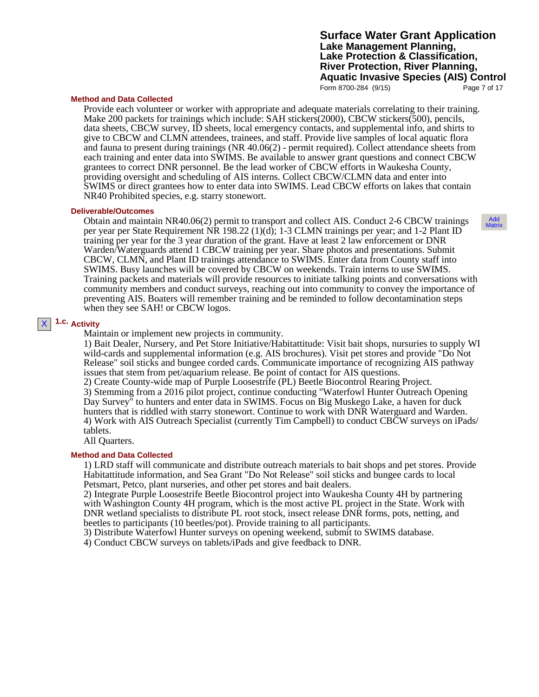## **Surface Water Grant Application Lake Management Planning, Lake Protection & Classification, River Protection, River Planning, Aquatic Invasive Species (AIS) Control** Form 8700-284 (9/15) Page 7 of 17

#### **Method and Data Collected**

Provide each volunteer or worker with appropriate and adequate materials correlating to their training. Make 200 packets for trainings which include: SAH stickers(2000), CBCW stickers(500), pencils, data sheets, CBCW survey, ID sheets, local emergency contacts, and supplemental info, and shirts to give to CBCW and CLMN attendees, trainees, and staff. Provide live samples of local aquatic flora and fauna to present during trainings (NR 40.06(2) - permit required). Collect attendance sheets from each training and enter data into SWIMS. Be available to answer grant questions and connect CBCW grantees to correct DNR personnel. Be the lead worker of CBCW efforts in Waukesha County, providing oversight and scheduling of AIS interns. Collect CBCW/CLMN data and enter into SWIMS or direct grantees how to enter data into SWIMS. Lead CBCW efforts on lakes that contain NR40 Prohibited species, e.g. starry stonewort.

### **Deliverable/Outcomes**

Obtain and maintain NR40.06(2) permit to transport and collect AIS. Conduct 2-6 CBCW trainings per year per State Requirement NR 198.22 (1)(d); 1-3 CLMN trainings per year; and 1-2 Plant ID training per year for the 3 year duration of the grant. Have at least 2 law enforcement or DNR Warden/Waterguards attend 1 CBCW training per year. Share photos and presentations. Submit CBCW, CLMN, and Plant ID trainings attendance to SWIMS. Enter data from County staff into SWIMS. Busy launches will be covered by CBCW on weekends. Train interns to use SWIMS. Training packets and materials will provide resources to initiate talking points and conversations with community members and conduct surveys, reaching out into community to convey the importance of preventing AIS. Boaters will remember training and be reminded to follow decontamination steps when they see SAH! or CBCW logos.

#### **1.c. Activity** X

Maintain or implement new projects in community.

1) Bait Dealer, Nursery, and Pet Store Initiative/Habitattitude: Visit bait shops, nursuries to supply WI wild-cards and supplemental information (e.g. AIS brochures). Visit pet stores and provide "Do Not Release" soil sticks and bungee corded cards. Communicate importance of recognizing AIS pathway issues that stem from pet/aquarium release. Be point of contact for AIS questions.

2) Create County-wide map of Purple Loosestrife (PL) Beetle Biocontrol Rearing Project. 3) Stemming from a 2016 pilot project, continue conducting "Waterfowl Hunter Outreach Opening Day Survey" to hunters and enter data in SWIMS. Focus on Big Muskego Lake, a haven for duck hunters that is riddled with starry stonewort. Continue to work with DNR Waterguard and Warden. 4) Work with AIS Outreach Specialist (currently Tim Campbell) to conduct CBCW surveys on iPads/ tablets.

All Quarters.

## **Method and Data Collected**

1) LRD staff will communicate and distribute outreach materials to bait shops and pet stores. Provide Habitattitude information, and Sea Grant "Do Not Release" soil sticks and bungee cards to local Petsmart, Petco, plant nurseries, and other pet stores and bait dealers.

2) Integrate Purple Loosestrife Beetle Biocontrol project into Waukesha County 4H by partnering with Washington County 4H program, which is the most active PL project in the State. Work with DNR wetland specialists to distribute PL root stock, insect release DNR forms, pots, netting, and beetles to participants (10 beetles/pot). Provide training to all participants.

3) Distribute Waterfowl Hunter surveys on opening weekend, submit to SWIMS database.

4) Conduct CBCW surveys on tablets/iPads and give feedback to DNR.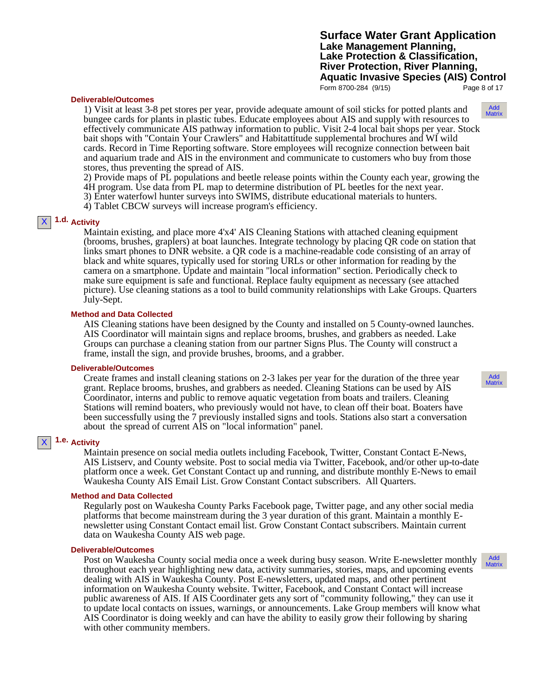Form 8700-284 (9/15) Page 8 of 17

#### **Deliverable/Outcomes**

1) Visit at least 3-8 pet stores per year, provide adequate amount of soil sticks for potted plants and bungee cards for plants in plastic tubes. Educate employees about AIS and supply with resources to effectively communicate AIS pathway information to public. Visit 2-4 local bait shops per year. Stock bait shops with "Contain Your Crawlers" and Habitattitude supplemental brochures and WI wild cards. Record in Time Reporting software. Store employees will recognize connection between bait and aquarium trade and AIS in the environment and communicate to customers who buy from those stores, thus preventing the spread of AIS.

2) Provide maps of PL populations and beetle release points within the County each year, growing the 4H program. Use data from PL map to determine distribution of PL beetles for the next year.

3) Enter waterfowl hunter surveys into SWIMS, distribute educational materials to hunters.

4) Tablet CBCW surveys will increase program's efficiency.

## **1.d. Activity**

X

Maintain existing, and place more 4'x4' AIS Cleaning Stations with attached cleaning equipment (brooms, brushes, graplers) at boat launches. Integrate technology by placing QR code on station that links smart phones to DNR website. a QR code is a machine-readable code consisting of an array of black and white squares, typically used for storing URLs or other information for reading by the camera on a smartphone. Update and maintain "local information" section. Periodically check to make sure equipment is safe and functional. Replace faulty equipment as necessary (see attached picture). Use cleaning stations as a tool to build community relationships with Lake Groups. Quarters July-Sept.

#### **Method and Data Collected**

AIS Cleaning stations have been designed by the County and installed on 5 County-owned launches. AIS Coordinator will maintain signs and replace brooms, brushes, and grabbers as needed. Lake Groups can purchase a cleaning station from our partner Signs Plus. The County will construct a frame, install the sign, and provide brushes, brooms, and a grabber.

#### **Deliverable/Outcomes**

Create frames and install cleaning stations on 2-3 lakes per year for the duration of the three year grant. Replace brooms, brushes, and grabbers as needed. Cleaning Stations can be used by AIS Coordinator, interns and public to remove aquatic vegetation from boats and trailers. Cleaning Stations will remind boaters, who previously would not have, to clean off their boat. Boaters have been successfully using the 7 previously installed signs and tools. Stations also start a conversation about the spread of current AIS on "local information" panel.

## **1.e. Activity**

X

Maintain presence on social media outlets including Facebook, Twitter, Constant Contact E-News, AIS Listserv, and County website. Post to social media via Twitter, Facebook, and/or other up-to-date platform once a week. Get Constant Contact up and running, and distribute monthly E-News to email Waukesha County AIS Email List. Grow Constant Contact subscribers. All Quarters.

#### **Method and Data Collected**

Regularly post on Waukesha County Parks Facebook page, Twitter page, and any other social media platforms that become mainstream during the 3 year duration of this grant. Maintain a monthly E- newsletter using Constant Contact email list. Grow Constant Contact subscribers. Maintain current data on Waukesha County AIS web page.

#### **Deliverable/Outcomes**

Post on Waukesha County social media once a week during busy season. Write E-newsletter monthly throughout each year highlighting new data, activity summaries, stories, maps, and upcoming events dealing with AIS in Waukesha County. Post E-newsletters, updated maps, and other pertinent information on Waukesha County website. Twitter, Facebook, and Constant Contact will increase public awareness of AIS. If AIS Coordinater gets any sort of "community following," they can use it to update local contacts on issues, warnings, or announcements. Lake Group members will know what AIS Coordinator is doing weekly and can have the ability to easily grow their following by sharing with other community members.

Add Matrix

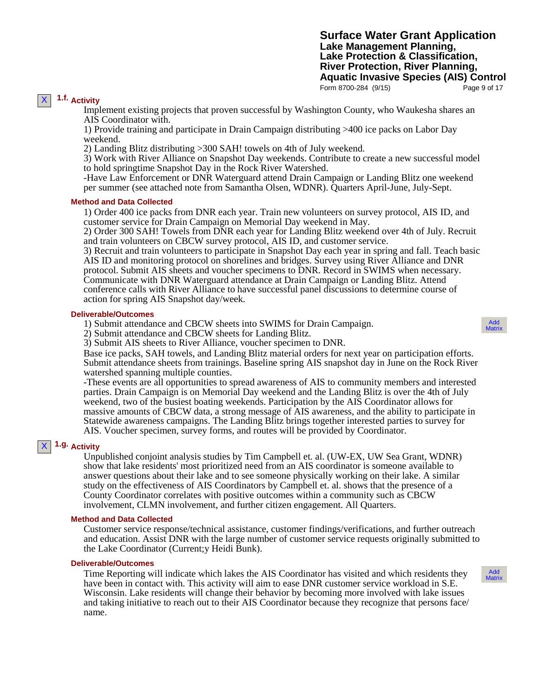**Surface Water Grant Application Lake Management Planning, Lake Protection & Classification, River Protection, River Planning, Aquatic Invasive Species (AIS) Control** Form 8700-284 (9/15) Page 9 of 17

## **1.f. Activity**

X

Implement existing projects that proven successful by Washington County, who Waukesha shares an AIS Coordinator with.

1) Provide training and participate in Drain Campaign distributing >400 ice packs on Labor Day weekend.

2) Landing Blitz distributing >300 SAH! towels on 4th of July weekend.

3) Work with River Alliance on Snapshot Day weekends. Contribute to create a new successful model to hold springtime Snapshot Day in the Rock River Watershed.

-Have Law Enforcement or DNR Waterguard attend Drain Campaign or Landing Blitz one weekend per summer (see attached note from Samantha Olsen, WDNR). Quarters April-June, July-Sept.

### **Method and Data Collected**

1) Order 400 ice packs from DNR each year. Train new volunteers on survey protocol, AIS ID, and customer service for Drain Campaign on Memorial Day weekend in May.

2) Order 300 SAH! Towels from DNR each year for Landing Blitz weekend over 4th of July. Recruit and train volunteers on CBCW survey protocol, AIS ID, and customer service.

3) Recruit and train volunteers to participate in Snapshot Day each year in spring and fall. Teach basic AIS ID and monitoring protocol on shorelines and bridges. Survey using River Alliance and DNR protocol. Submit AIS sheets and voucher specimens to DNR. Record in SWIMS when necessary. Communicate with DNR Waterguard attendance at Drain Campaign or Landing Blitz. Attend conference calls with River Alliance to have successful panel discussions to determine course of action for spring AIS Snapshot day/week.

### **Deliverable/Outcomes**

1) Submit attendance and CBCW sheets into SWIMS for Drain Campaign.

2) Submit attendance and CBCW sheets for Landing Blitz.

3) Submit AIS sheets to River Alliance, voucher specimen to DNR.

Base ice packs, SAH towels, and Landing Blitz material orders for next year on participation efforts. Submit attendance sheets from trainings. Baseline spring AIS snapshot day in June on the Rock River watershed spanning multiple counties.

-These events are all opportunities to spread awareness of AIS to community members and interested parties. Drain Campaign is on Memorial Day weekend and the Landing Blitz is over the 4th of July weekend, two of the busiest boating weekends. Participation by the AIS Coordinator allows for massive amounts of CBCW data, a strong message of AIS awareness, and the ability to participate in Statewide awareness campaigns. The Landing Blitz brings together interested parties to survey for AIS. Voucher specimen, survey forms, and routes will be provided by Coordinator.

## **1.g. Activity**

X

Unpublished conjoint analysis studies by Tim Campbell et. al. (UW-EX, UW Sea Grant, WDNR) show that lake residents' most prioritized need from an AIS coordinator is someone available to answer questions about their lake and to see someone physically working on their lake. A similar study on the effectiveness of AIS Coordinators by Campbell et. al. shows that the presence of a County Coordinator correlates with positive outcomes within a community such as CBCW involvement, CLMN involvement, and further citizen engagement. All Quarters.

#### **Method and Data Collected**

Customer service response/technical assistance, customer findings/verifications, and further outreach and education. Assist DNR with the large number of customer service requests originally submitted to the Lake Coordinator (Current;y Heidi Bunk).

#### **Deliverable/Outcomes**

Time Reporting will indicate which lakes the AIS Coordinator has visited and which residents they have been in contact with. This activity will aim to ease DNR customer service workload in S.E. Wisconsin. Lake residents will change their behavior by becoming more involved with lake issues and taking initiative to reach out to their AIS Coordinator because they recognize that persons face/ name.

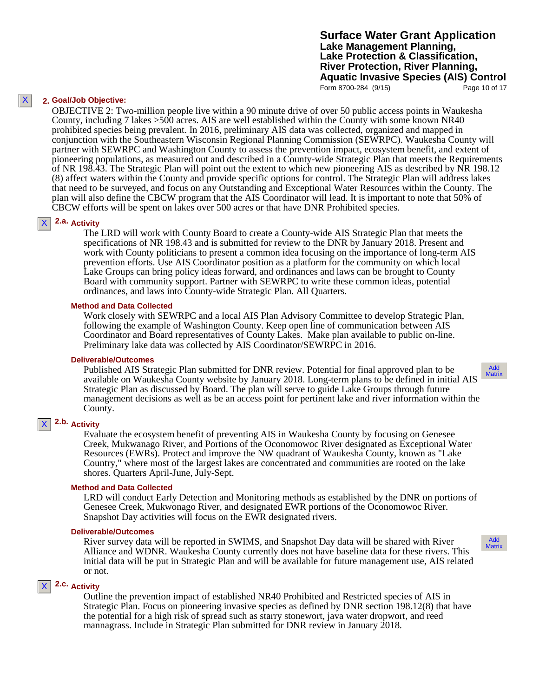**Surface Water Grant Application Lake Management Planning, Lake Protection & Classification, River Protection, River Planning, Aquatic Invasive Species (AIS) Control** Form 8700-284 (9/15) Page 10 of 17

## **2. Goal/Job Objective:**

X

OBJECTIVE 2: Two-million people live within a 90 minute drive of over 50 public access points in Waukesha County, including 7 lakes >500 acres. AIS are well established within the County with some known NR40 prohibited species being prevalent. In 2016, preliminary AIS data was collected, organized and mapped in conjunction with the Southeastern Wisconsin Regional Planning Commission (SEWRPC). Waukesha County will partner with SEWRPC and Washington County to assess the prevention impact, ecosystem benefit, and extent of pioneering populations, as measured out and described in a County-wide Strategic Plan that meets the Requirements of NR 198.43. The Strategic Plan will point out the extent to which new pioneering AIS as described by NR 198.12 (8) affect waters within the County and provide specific options for control. The Strategic Plan will address lakes that need to be surveyed, and focus on any Outstanding and Exceptional Water Resources within the County. The plan will also define the CBCW program that the AIS Coordinator will lead. It is important to note that 50% of CBCW efforts will be spent on lakes over 500 acres or that have DNR Prohibited species.

#### **2.a. Activity** X

The LRD will work with County Board to create a County-wide AIS Strategic Plan that meets the specifications of NR 198.43 and is submitted for review to the DNR by January 2018. Present and work with County politicians to present a common idea focusing on the importance of long-term AIS prevention efforts. Use AIS Coordinator position as a platform for the community on which local Lake Groups can bring policy ideas forward, and ordinances and laws can be brought to County Board with community support. Partner with SEWRPC to write these common ideas, potential ordinances, and laws into County-wide Strategic Plan. All Quarters.

#### **Method and Data Collected**

Work closely with SEWRPC and a local AIS Plan Advisory Committee to develop Strategic Plan, following the example of Washington County. Keep open line of communication between AIS Coordinator and Board representatives of County Lakes. Make plan available to public on-line. Preliminary lake data was collected by AIS Coordinator/SEWRPC in 2016.

#### **Deliverable/Outcomes**

Published AIS Strategic Plan submitted for DNR review. Potential for final approved plan to be available on Waukesha County website by January 2018. Long-term plans to be defined in initial AIS Strategic Plan as discussed by Board. The plan will serve to guide Lake Groups through future management decisions as well as be an access point for pertinent lake and river information within the County.

#### **2.b. Activity** X

Evaluate the ecosystem benefit of preventing AIS in Waukesha County by focusing on Genesee Creek, Mukwanago River, and Portions of the Oconomowoc River designated as Exceptional Water Resources (EWRs). Protect and improve the NW quadrant of Waukesha County, known as "Lake Country," where most of the largest lakes are concentrated and communities are rooted on the lake shores. Quarters April-June, July-Sept.

#### **Method and Data Collected**

LRD will conduct Early Detection and Monitoring methods as established by the DNR on portions of Genesee Creek, Mukwonago River, and designated EWR portions of the Oconomowoc River. Snapshot Day activities will focus on the EWR designated rivers.

### **Deliverable/Outcomes**

River survey data will be reported in SWIMS, and Snapshot Day data will be shared with River Alliance and WDNR. Waukesha County currently does not have baseline data for these rivers. This initial data will be put in Strategic Plan and will be available for future management use, AIS related or not.

## **2.c. Activity**

X

Outline the prevention impact of established NR40 Prohibited and Restricted species of AIS in Strategic Plan. Focus on pioneering invasive species as defined by DNR section 198.12(8) that have the potential for a high risk of spread such as starry stonewort, java water dropwort, and reed mannagrass. Include in Strategic Plan submitted for DNR review in January 2018.

Add Matrix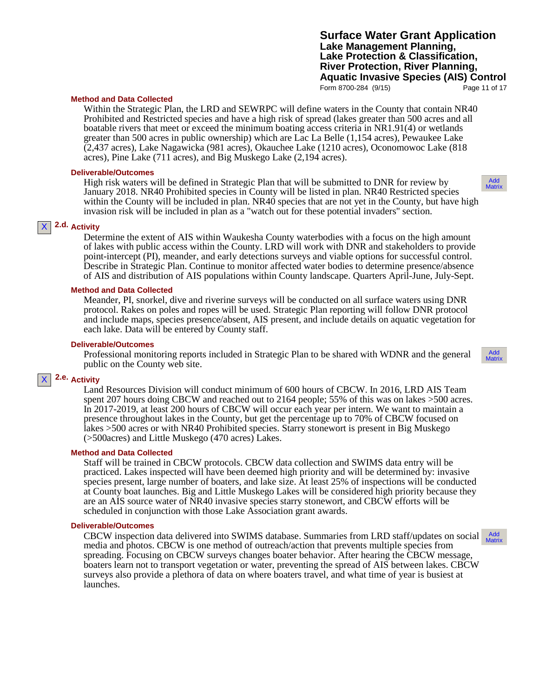## **Surface Water Grant Application Lake Management Planning, Lake Protection & Classification, River Protection, River Planning, Aquatic Invasive Species (AIS) Control** Form 8700-284 (9/15) Page 11 of 17

Add Matrix

### **Method and Data Collected**

Within the Strategic Plan, the LRD and SEWRPC will define waters in the County that contain NR40 Prohibited and Restricted species and have a high risk of spread (lakes greater than 500 acres and all boatable rivers that meet or exceed the minimum boating access criteria in NR1.91(4) or wetlands greater than 500 acres in public ownership) which are Lac La Belle (1,154 acres), Pewaukee Lake (2,437 acres), Lake Nagawicka (981 acres), Okauchee Lake (1210 acres), Oconomowoc Lake (818 acres), Pine Lake (711 acres), and Big Muskego Lake (2,194 acres).

### **Deliverable/Outcomes**

High risk waters will be defined in Strategic Plan that will be submitted to DNR for review by January 2018. NR40 Prohibited species in County will be listed in plan. NR40 Restricted species within the County will be included in plan. NR40 species that are not yet in the County, but have high invasion risk will be included in plan as a "watch out for these potential invaders" section.

#### **2.d. Activity** X

Determine the extent of AIS within Waukesha County waterbodies with a focus on the high amount of lakes with public access within the County. LRD will work with DNR and stakeholders to provide point-intercept (PI), meander, and early detections surveys and viable options for successful control. Describe in Strategic Plan. Continue to monitor affected water bodies to determine presence/absence of AIS and distribution of AIS populations within County landscape. Quarters April-June, July-Sept.

## **Method and Data Collected**

Meander, PI, snorkel, dive and riverine surveys will be conducted on all surface waters using DNR protocol. Rakes on poles and ropes will be used. Strategic Plan reporting will follow DNR protocol and include maps, species presence/absent, AIS present, and include details on aquatic vegetation for each lake. Data will be entered by County staff.

#### **Deliverable/Outcomes**

Professional monitoring reports included in Strategic Plan to be shared with WDNR and the general public on the County web site.

#### **2.e. Activity** X

Land Resources Division will conduct minimum of 600 hours of CBCW. In 2016, LRD AIS Team spent 207 hours doing CBCW and reached out to 2164 people; 55% of this was on lakes >500 acres. In 2017-2019, at least 200 hours of CBCW will occur each year per intern. We want to maintain a presence throughout lakes in the County, but get the percentage up to 70% of CBCW focused on lakes >500 acres or with NR40 Prohibited species. Starry stonewort is present in Big Muskego (>500acres) and Little Muskego (470 acres) Lakes.

#### **Method and Data Collected**

Staff will be trained in CBCW protocols. CBCW data collection and SWIMS data entry will be practiced. Lakes inspected will have been deemed high priority and will be determined by: invasive species present, large number of boaters, and lake size. At least 25% of inspections will be conducted at County boat launches. Big and Little Muskego Lakes will be considered high priority because they are an AIS source water of NR40 invasive species starry stonewort, and CBCW efforts will be scheduled in conjunction with those Lake Association grant awards.

#### **Deliverable/Outcomes**

CBCW inspection data delivered into SWIMS database. Summaries from LRD staff/updates on social media and photos. CBCW is one method of outreach/action that prevents multiple species from spreading. Focusing on CBCW surveys changes boater behavior. After hearing the CBCW message, boaters learn not to transport vegetation or water, preventing the spread of AIS between lakes. CBCW surveys also provide a plethora of data on where boaters travel, and what time of year is busiest at launches.



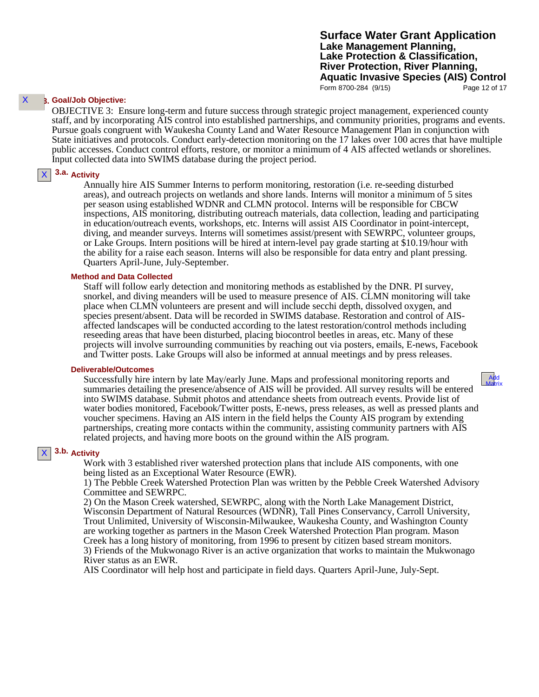**Surface Water Grant Application Lake Management Planning, Lake Protection & Classification, River Protection, River Planning, Aquatic Invasive Species (AIS) Control** Form 8700-284 (9/15) Page 12 of 17

#### **3. Goal/Job Objective:** X

OBJECTIVE 3: Ensure long-term and future success through strategic project management, experienced county staff, and by incorporating AIS control into established partnerships, and community priorities, programs and events. Pursue goals congruent with Waukesha County Land and Water Resource Management Plan in conjunction with State initiatives and protocols. Conduct early-detection monitoring on the 17 lakes over 100 acres that have multiple public accesses. Conduct control efforts, restore, or monitor a minimum of 4 AIS affected wetlands or shorelines. Input collected data into SWIMS database during the project period.

#### **3.a. Activity**  $\mathsf{X}$

Annually hire AIS Summer Interns to perform monitoring, restoration (i.e. re-seeding disturbed areas), and outreach projects on wetlands and shore lands. Interns will monitor a minimum of 5 sites per season using established WDNR and CLMN protocol. Interns will be responsible for CBCW inspections, AIS monitoring, distributing outreach materials, data collection, leading and participating in education/outreach events, workshops, etc. Interns will assist AIS Coordinator in point-intercept, diving, and meander surveys. Interns will sometimes assist/present with SEWRPC, volunteer groups, or Lake Groups. Intern positions will be hired at intern-level pay grade starting at \$10.19/hour with the ability for a raise each season. Interns will also be responsible for data entry and plant pressing. Quarters April-June, July-September.

### **Method and Data Collected**

Staff will follow early detection and monitoring methods as established by the DNR. PI survey, snorkel, and diving meanders will be used to measure presence of AIS. CLMN monitoring will take place when CLMN volunteers are present and will include secchi depth, dissolved oxygen, and species present/absent. Data will be recorded in SWIMS database. Restoration and control of AIS- affected landscapes will be conducted according to the latest restoration/control methods including reseeding areas that have been disturbed, placing biocontrol beetles in areas, etc. Many of these projects will involve surrounding communities by reaching out via posters, emails, E-news, Facebook and Twitter posts. Lake Groups will also be informed at annual meetings and by press releases.

#### **Deliverable/Outcomes**

Successfully hire intern by late May/early June. Maps and professional monitoring reports and summaries detailing the presence/absence of AIS will be provided. All survey results will be entered into SWIMS database. Submit photos and attendance sheets from outreach events. Provide list of water bodies monitored, Facebook/Twitter posts, E-news, press releases, as well as pressed plants and voucher specimens. Having an AIS intern in the field helps the County AIS program by extending partnerships, creating more contacts within the community, assisting community partners with AIS related projects, and having more boots on the ground within the AIS program.

## **3.b. Activity**

X

Work with 3 established river watershed protection plans that include AIS components, with one being listed as an Exceptional Water Resource (EWR).

1) The Pebble Creek Watershed Protection Plan was written by the Pebble Creek Watershed Advisory Committee and SEWRPC.

2) On the Mason Creek watershed, SEWRPC, along with the North Lake Management District, Wisconsin Department of Natural Resources (WDNR), Tall Pines Conservancy, Carroll University, Trout Unlimited, University of Wisconsin-Milwaukee, Waukesha County, and Washington County are working together as partners in the Mason Creek Watershed Protection Plan program. Mason Creek has a long history of monitoring, from 1996 to present by citizen based stream monitors. 3) Friends of the Mukwonago River is an active organization that works to maintain the Mukwonago River status as an EWR.

AIS Coordinator will help host and participate in field days. Quarters April-June, July-Sept.

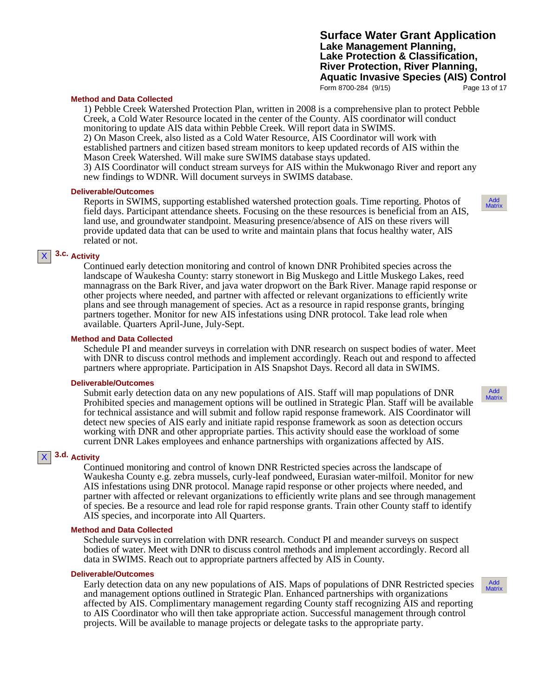## **Surface Water Grant Application Lake Management Planning, Lake Protection & Classification, River Protection, River Planning, Aquatic Invasive Species (AIS) Control** Form 8700-284 (9/15) Page 13 of 17

#### **Method and Data Collected**

1) Pebble Creek Watershed Protection Plan, written in 2008 is a comprehensive plan to protect Pebble Creek, a Cold Water Resource located in the center of the County. AIS coordinator will conduct monitoring to update AIS data within Pebble Creek. Will report data in SWIMS. 2) On Mason Creek, also listed as a Cold Water Resource, AIS Coordinator will work with established partners and citizen based stream monitors to keep updated records of AIS within the Mason Creek Watershed. Will make sure SWIMS database stays updated.

3) AIS Coordinator will conduct stream surveys for AIS within the Mukwonago River and report any new findings to WDNR. Will document surveys in SWIMS database.

#### **Deliverable/Outcomes**

Reports in SWIMS, supporting established watershed protection goals. Time reporting. Photos of field days. Participant attendance sheets. Focusing on the these resources is beneficial from an AIS, land use, and groundwater standpoint. Measuring presence/absence of AIS on these rivers will provide updated data that can be used to write and maintain plans that focus healthy water, AIS related or not.

#### **3.c. Activity** X

Continued early detection monitoring and control of known DNR Prohibited species across the landscape of Waukesha County: starry stonewort in Big Muskego and Little Muskego Lakes, reed mannagrass on the Bark River, and java water dropwort on the Bark River. Manage rapid response or other projects where needed, and partner with affected or relevant organizations to efficiently write plans and see through management of species. Act as a resource in rapid response grants, bringing partners together. Monitor for new AIS infestations using DNR protocol. Take lead role when available. Quarters April-June, July-Sept.

#### **Method and Data Collected**

Schedule PI and meander surveys in correlation with DNR research on suspect bodies of water. Meet with DNR to discuss control methods and implement accordingly. Reach out and respond to affected partners where appropriate. Participation in AIS Snapshot Days. Record all data in SWIMS.

### **Deliverable/Outcomes**

Submit early detection data on any new populations of AIS. Staff will map populations of DNR Prohibited species and management options will be outlined in Strategic Plan. Staff will be available for technical assistance and will submit and follow rapid response framework. AIS Coordinator will detect new species of AIS early and initiate rapid response framework as soon as detection occurs working with DNR and other appropriate parties. This activity should ease the workload of some current DNR Lakes employees and enhance partnerships with organizations affected by AIS.

## **3.d. Activity**

X

Continued monitoring and control of known DNR Restricted species across the landscape of Waukesha County e.g. zebra mussels, curly-leaf pondweed, Eurasian water-milfoil. Monitor for new AIS infestations using DNR protocol. Manage rapid response or other projects where needed, and partner with affected or relevant organizations to efficiently write plans and see through management of species. Be a resource and lead role for rapid response grants. Train other County staff to identify AIS species, and incorporate into All Quarters.

#### **Method and Data Collected**

Schedule surveys in correlation with DNR research. Conduct PI and meander surveys on suspect bodies of water. Meet with DNR to discuss control methods and implement accordingly. Record all data in SWIMS. Reach out to appropriate partners affected by AIS in County.

#### **Deliverable/Outcomes**

Early detection data on any new populations of AIS. Maps of populations of DNR Restricted species and management options outlined in Strategic Plan. Enhanced partnerships with organizations affected by AIS. Complimentary management regarding County staff recognizing AIS and reporting to AIS Coordinator who will then take appropriate action. Successful management through control projects. Will be available to manage projects or delegate tasks to the appropriate party.



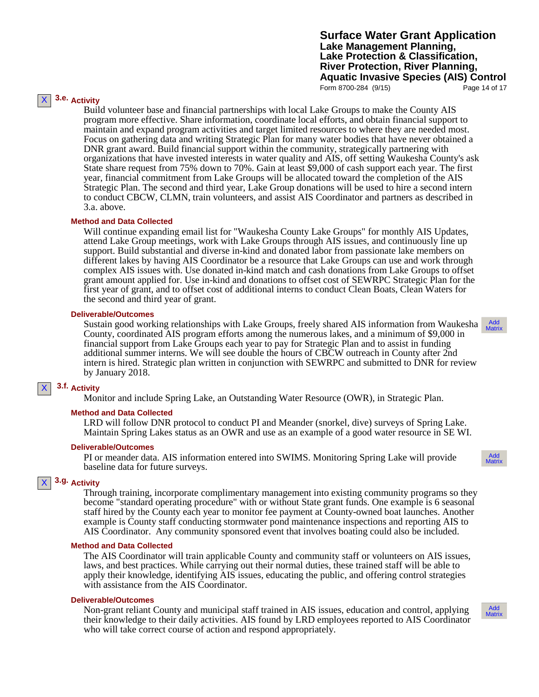**Surface Water Grant Application Lake Management Planning, Lake Protection & Classification, River Protection, River Planning, Aquatic Invasive Species (AIS) Control** Form 8700-284 (9/15) Page 14 of 17

Add Matrix

Add **Matrix** 

## **3.e. Activity**

X

Build volunteer base and financial partnerships with local Lake Groups to make the County AIS program more effective. Share information, coordinate local efforts, and obtain financial support to maintain and expand program activities and target limited resources to where they are needed most. Focus on gathering data and writing Strategic Plan for many water bodies that have never obtained a DNR grant award. Build financial support within the community, strategically partnering with organizations that have invested interests in water quality and AIS, off setting Waukesha County's ask State share request from 75% down to 70%. Gain at least \$9,000 of cash support each year. The first year, financial commitment from Lake Groups will be allocated toward the completion of the AIS Strategic Plan. The second and third year, Lake Group donations will be used to hire a second intern to conduct CBCW, CLMN, train volunteers, and assist AIS Coordinator and partners as described in 3.a. above.

#### **Method and Data Collected**

Will continue expanding email list for "Waukesha County Lake Groups" for monthly AIS Updates, attend Lake Group meetings, work with Lake Groups through AIS issues, and continuously line up support. Build substantial and diverse in-kind and donated labor from passionate lake members on different lakes by having AIS Coordinator be a resource that Lake Groups can use and work through complex AIS issues with. Use donated in-kind match and cash donations from Lake Groups to offset grant amount applied for. Use in-kind and donations to offset cost of SEWRPC Strategic Plan for the first year of grant, and to offset cost of additional interns to conduct Clean Boats, Clean Waters for the second and third year of grant.

### **Deliverable/Outcomes**

Sustain good working relationships with Lake Groups, freely shared AIS information from Waukesha County, coordinated AIS program efforts among the numerous lakes, and a minimum of \$9,000 in financial support from Lake Groups each year to pay for Strategic Plan and to assist in funding additional summer interns. We will see double the hours of CBCW outreach in County after 2nd intern is hired. Strategic plan written in conjunction with SEWRPC and submitted to DNR for review by January 2018.

#### **3.f. Activity** X

Monitor and include Spring Lake, an Outstanding Water Resource (OWR), in Strategic Plan.

#### **Method and Data Collected**

LRD will follow DNR protocol to conduct PI and Meander (snorkel, dive) surveys of Spring Lake. Maintain Spring Lakes status as an OWR and use as an example of a good water resource in SE WI.

#### **Deliverable/Outcomes**

PI or meander data. AIS information entered into SWIMS. Monitoring Spring Lake will provide baseline data for future surveys.

#### **3.g. Activity** X

Through training, incorporate complimentary management into existing community programs so they become "standard operating procedure" with or without State grant funds. One example is 6 seasonal staff hired by the County each year to monitor fee payment at County-owned boat launches. Another example is County staff conducting stormwater pond maintenance inspections and reporting AIS to AIS Coordinator. Any community sponsored event that involves boating could also be included.

### **Method and Data Collected**

The AIS Coordinator will train applicable County and community staff or volunteers on AIS issues, laws, and best practices. While carrying out their normal duties, these trained staff will be able to apply their knowledge, identifying AIS issues, educating the public, and offering control strategies with assistance from the AIS Coordinator.

#### **Deliverable/Outcomes**

Non-grant reliant County and municipal staff trained in AIS issues, education and control, applying their knowledge to their daily activities. AIS found by LRD employees reported to AIS Coordinator who will take correct course of action and respond appropriately.

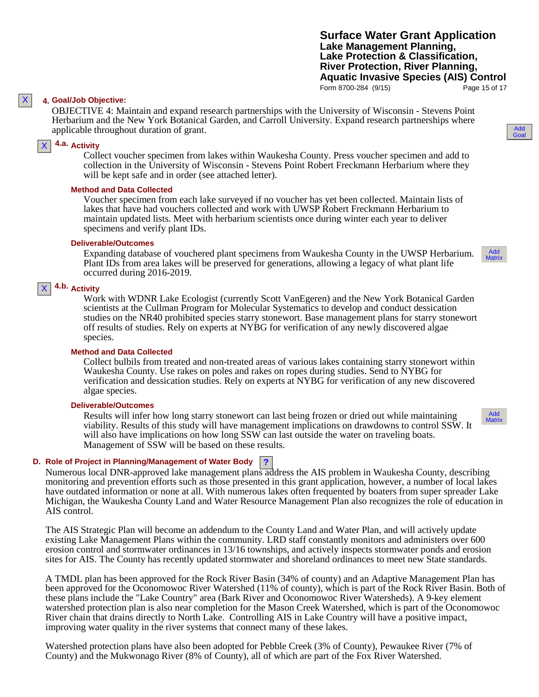Add Goal

### **4. Goal/Job Objective:**

OBJECTIVE 4: Maintain and expand research partnerships with the University of Wisconsin - Stevens Point Herbarium and the New York Botanical Garden, and Carroll University. Expand research partnerships where applicable throughout duration of grant.

## **4.a. Activity**

Collect voucher specimen from lakes within Waukesha County. Press voucher specimen and add to collection in the University of Wisconsin - Stevens Point Robert Freckmann Herbarium where they will be kept safe and in order (see attached letter).

### **Method and Data Collected**

Voucher specimen from each lake surveyed if no voucher has yet been collected. Maintain lists of lakes that have had vouchers collected and work with UWSP Robert Freckmann Herbarium to maintain updated lists. Meet with herbarium scientists once during winter each year to deliver specimens and verify plant IDs.

#### **Deliverable/Outcomes**

Expanding database of vouchered plant specimens from Waukesha County in the UWSP Herbarium. Plant IDs from area lakes will be preserved for generations, allowing a legacy of what plant life occurred during 2016-2019.

#### **4.b. Activity** X

Work with WDNR Lake Ecologist (currently Scott VanEgeren) and the New York Botanical Garden scientists at the Cullman Program for Molecular Systematics to develop and conduct dessication studies on the NR40 prohibited species starry stonewort. Base management plans for starry stonewort off results of studies. Rely on experts at NYBG for verification of any newly discovered algae species.

### **Method and Data Collected**

Collect bulbils from treated and non-treated areas of various lakes containing starry stonewort within Waukesha County. Use rakes on poles and rakes on ropes during studies. Send to NYBG for verification and dessication studies. Rely on experts at NYBG for verification of any new discovered algae species.

### **Deliverable/Outcomes**

Results will infer how long starry stonewort can last being frozen or dried out while maintaining viability. Results of this study will have management implications on drawdowns to control SSW. It will also have implications on how long SSW can last outside the water on traveling boats. Management of SSW will be based on these results.

## **? D. Role of Project in Planning/Management of Water Body**

Numerous local DNR-approved lake management plans address the AIS problem in Waukesha County, describing monitoring and prevention efforts such as those presented in this grant application, however, a number of local lakes have outdated information or none at all. With numerous lakes often frequented by boaters from super spreader Lake Michigan, the Waukesha County Land and Water Resource Management Plan also recognizes the role of education in AIS control.

The AIS Strategic Plan will become an addendum to the County Land and Water Plan, and will actively update existing Lake Management Plans within the community. LRD staff constantly monitors and administers over 600 erosion control and stormwater ordinances in 13/16 townships, and actively inspects stormwater ponds and erosion sites for AIS. The County has recently updated stormwater and shoreland ordinances to meet new State standards.

A TMDL plan has been approved for the Rock River Basin (34% of county) and an Adaptive Management Plan has been approved for the Oconomowoc River Watershed (11% of county), which is part of the Rock River Basin. Both of these plans include the "Lake Country" area (Bark River and Oconomowoc River Watersheds). A 9-key element watershed protection plan is also near completion for the Mason Creek Watershed, which is part of the Oconomowoc River chain that drains directly to North Lake. Controlling AIS in Lake Country will have a positive impact, improving water quality in the river systems that connect many of these lakes.

Watershed protection plans have also been adopted for Pebble Creek (3% of County), Pewaukee River (7% of County) and the Mukwonago River (8% of County), all of which are part of the Fox River Watershed.



Add Matrix

X

X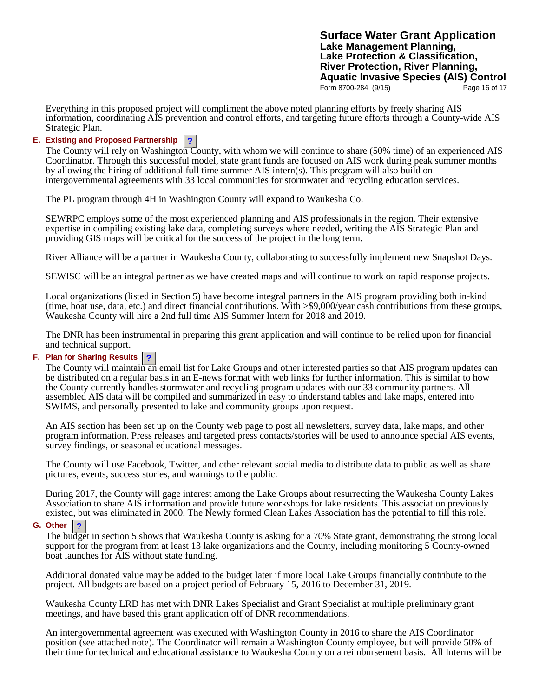**Surface Water Grant Application Lake Management Planning, Lake Protection & Classification, River Protection, River Planning, Aquatic Invasive Species (AIS) Control**<br>Form 8700-284 (9/15) Page 16 of 17 Form 8700-284 (9/15)

Everything in this proposed project will compliment the above noted planning efforts by freely sharing AIS information, coordinating AIS prevention and control efforts, and targeting future efforts through a County-wide AIS Strategic Plan.

## **? E. Existing and Proposed Partnership**

The County will rely on Washington County, with whom we will continue to share (50% time) of an experienced AIS Coordinator. Through this successful model, state grant funds are focused on AIS work during peak summer months by allowing the hiring of additional full time summer AIS intern(s). This program will also build on intergovernmental agreements with 33 local communities for stormwater and recycling education services.

The PL program through 4H in Washington County will expand to Waukesha Co.

SEWRPC employs some of the most experienced planning and AIS professionals in the region. Their extensive expertise in compiling existing lake data, completing surveys where needed, writing the AIS Strategic Plan and providing GIS maps will be critical for the success of the project in the long term.

River Alliance will be a partner in Waukesha County, collaborating to successfully implement new Snapshot Days.

SEWISC will be an integral partner as we have created maps and will continue to work on rapid response projects.

Local organizations (listed in Section 5) have become integral partners in the AIS program providing both in-kind (time, boat use, data, etc.) and direct financial contributions. With >\$9,000/year cash contributions from these groups, Waukesha County will hire a 2nd full time AIS Summer Intern for 2018 and 2019.

The DNR has been instrumental in preparing this grant application and will continue to be relied upon for financial and technical support.

# **? F. Plan for Sharing Results**

The County will maintain an email list for Lake Groups and other interested parties so that AIS program updates can be distributed on a regular basis in an E-news format with web links for further information. This is similar to how the County currently handles stormwater and recycling program updates with our 33 community partners. All assembled AIS data will be compiled and summarized in easy to understand tables and lake maps, entered into SWIMS, and personally presented to lake and community groups upon request.

An AIS section has been set up on the County web page to post all newsletters, survey data, lake maps, and other program information. Press releases and targeted press contacts/stories will be used to announce special AIS events, survey findings, or seasonal educational messages.

The County will use Facebook, Twitter, and other relevant social media to distribute data to public as well as share pictures, events, success stories, and warnings to the public.

During 2017, the County will gage interest among the Lake Groups about resurrecting the Waukesha County Lakes Association to share AIS information and provide future workshops for lake residents. This association previously existed, but was eliminated in 2000. The Newly formed Clean Lakes Association has the potential to fill this role.

## **? G. Other**

The budget in section 5 shows that Waukesha County is asking for a 70% State grant, demonstrating the strong local support for the program from at least 13 lake organizations and the County, including monitoring 5 County-owned boat launches for AIS without state funding.

Additional donated value may be added to the budget later if more local Lake Groups financially contribute to the project. All budgets are based on a project period of February 15, 2016 to December 31, 2019.

Waukesha County LRD has met with DNR Lakes Specialist and Grant Specialist at multiple preliminary grant meetings, and have based this grant application off of DNR recommendations.

An intergovernmental agreement was executed with Washington County in 2016 to share the AIS Coordinator position (see attached note). The Coordinator will remain a Washington County employee, but will provide 50% of their time for technical and educational assistance to Waukesha County on a reimbursement basis. All Interns will be